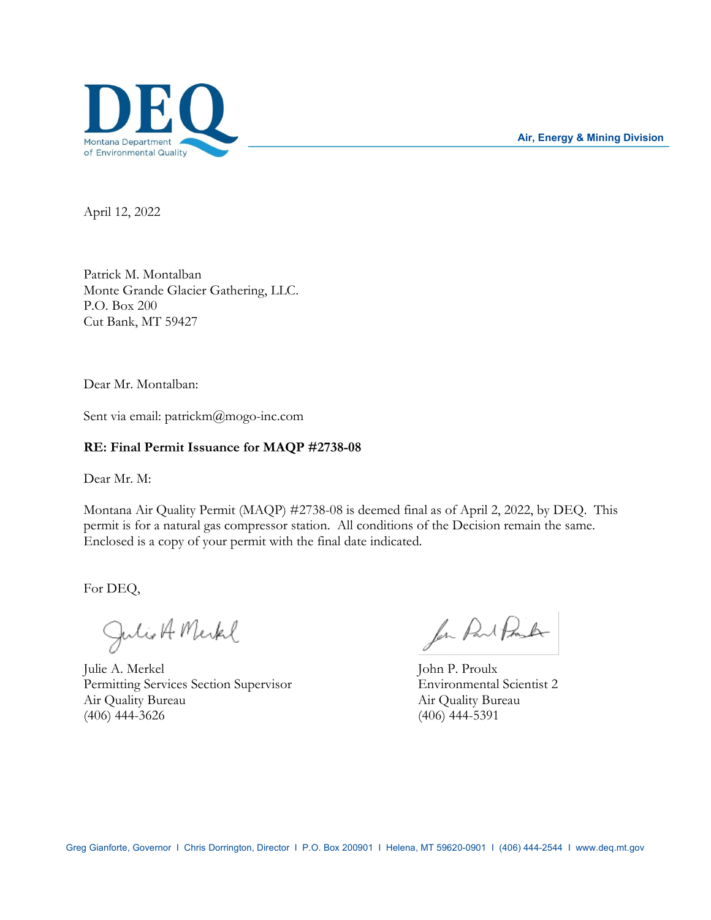

**Air, Energy & Mining Division**

April 12, 2022

Patrick M. Montalban Monte Grande Glacier Gathering, LLC. P.O. Box 200 Cut Bank, MT 59427

Dear Mr. Montalban:

Sent via email: patrickm@mogo-inc.com

#### **RE: Final Permit Issuance for MAQP #2738-08**

Dear Mr. M:

Montana Air Quality Permit (MAQP) #2738-08 is deemed final as of April 2, 2022, by DEQ. This permit is for a natural gas compressor station. All conditions of the Decision remain the same. Enclosed is a copy of your permit with the final date indicated.

For DEQ,

Julio A Merkel

Julie A. Merkel John P. Proulx Permitting Services Section Supervisor Environmental Scientist 2 Air Quality Bureau Air Quality Bureau (406) 444-3626 (406) 444-5391

for Part Post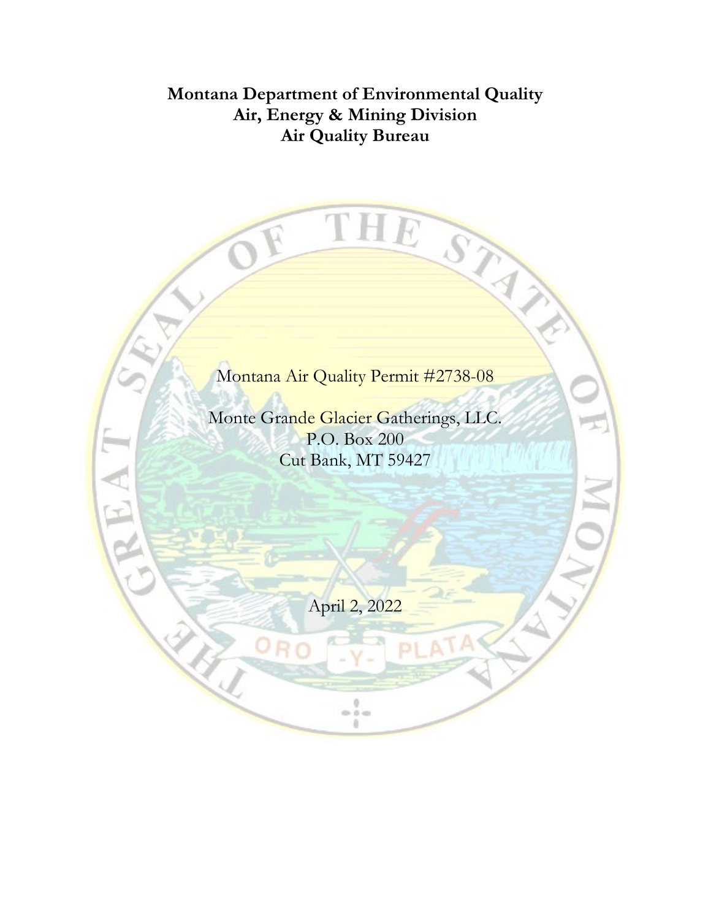## **Montana Department of Environmental Quality Air, Energy & Mining Division Air Quality Bureau**

THE

STAR

# Montana Air Quality Permit #2738-08

Monte Grande Glacier Gatherings, LLC. P.O. Box 200 Cut Bank, MT 59427

LH J

April 2, 2022

 $\frac{1}{2}$ ö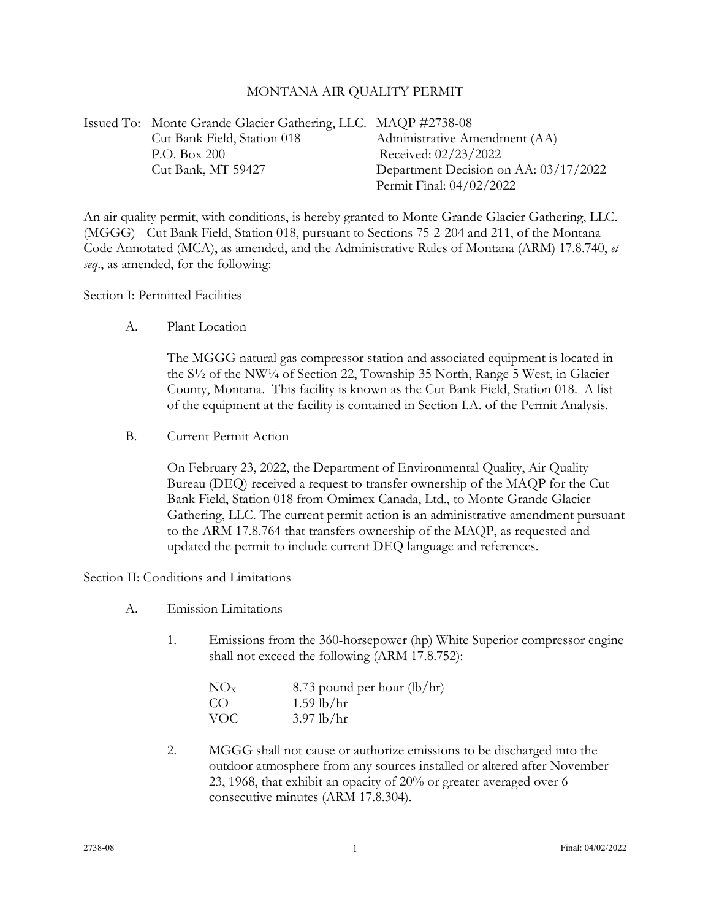#### MONTANA AIR QUALITY PERMIT

| Issued To: Monte Grande Glacier Gathering, LLC. MAQP #2738-08 |                                       |
|---------------------------------------------------------------|---------------------------------------|
| Cut Bank Field, Station 018                                   | Administrative Amendment (AA)         |
| P.O. Box 200                                                  | Received: 02/23/2022                  |
| Cut Bank, MT 59427                                            | Department Decision on AA: 03/17/2022 |
|                                                               | Permit Final: 04/02/2022              |

An air quality permit, with conditions, is hereby granted to Monte Grande Glacier Gathering, LLC. (MGGG) - Cut Bank Field, Station 018, pursuant to Sections 75-2-204 and 211, of the Montana Code Annotated (MCA), as amended, and the Administrative Rules of Montana (ARM) 17.8.740, *et seq*., as amended, for the following:

Section I: Permitted Facilities

A. Plant Location

The MGGG natural gas compressor station and associated equipment is located in the S½ of the NW¼ of Section 22, Township 35 North, Range 5 West, in Glacier County, Montana. This facility is known as the Cut Bank Field, Station 018. A list of the equipment at the facility is contained in Section I.A. of the Permit Analysis.

B. Current Permit Action

On February 23, 2022, the Department of Environmental Quality, Air Quality Bureau (DEQ) received a request to transfer ownership of the MAQP for the Cut Bank Field, Station 018 from Omimex Canada, Ltd., to Monte Grande Glacier Gathering, LLC. The current permit action is an administrative amendment pursuant to the ARM 17.8.764 that transfers ownership of the MAQP, as requested and updated the permit to include current DEQ language and references.

Section II: Conditions and Limitations

- A. Emission Limitations
	- 1. Emissions from the 360-horsepower (hp) White Superior compressor engine shall not exceed the following (ARM 17.8.752):

| NO <sub>x</sub> | 8.73 pound per hour $(lb/hr)$ |
|-----------------|-------------------------------|
| CO.             | $1.59$ lb/hr                  |
| <b>VOC</b>      | $3.97$ lb/hr                  |

2. MGGG shall not cause or authorize emissions to be discharged into the outdoor atmosphere from any sources installed or altered after November 23, 1968, that exhibit an opacity of 20% or greater averaged over 6 consecutive minutes (ARM 17.8.304).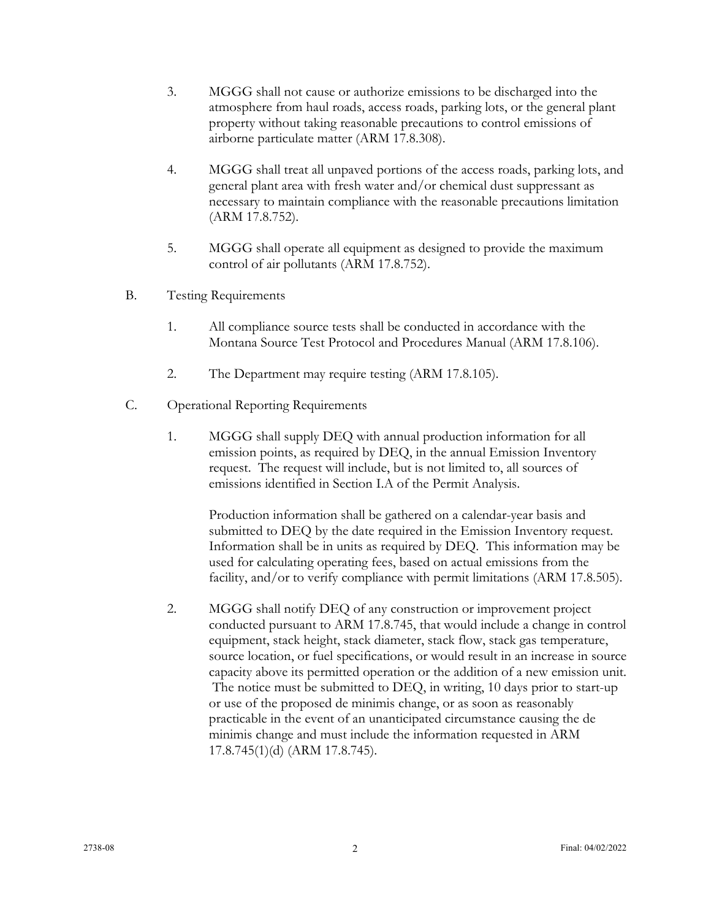- 3. MGGG shall not cause or authorize emissions to be discharged into the atmosphere from haul roads, access roads, parking lots, or the general plant property without taking reasonable precautions to control emissions of airborne particulate matter (ARM 17.8.308).
- 4. MGGG shall treat all unpaved portions of the access roads, parking lots, and general plant area with fresh water and/or chemical dust suppressant as necessary to maintain compliance with the reasonable precautions limitation (ARM 17.8.752).
- 5. MGGG shall operate all equipment as designed to provide the maximum control of air pollutants (ARM 17.8.752).
- B. Testing Requirements
	- 1. All compliance source tests shall be conducted in accordance with the Montana Source Test Protocol and Procedures Manual (ARM 17.8.106).
	- 2. The Department may require testing (ARM 17.8.105).
- C. Operational Reporting Requirements
	- 1. MGGG shall supply DEQ with annual production information for all emission points, as required by DEQ, in the annual Emission Inventory request. The request will include, but is not limited to, all sources of emissions identified in Section I.A of the Permit Analysis.

Production information shall be gathered on a calendar-year basis and submitted to DEQ by the date required in the Emission Inventory request. Information shall be in units as required by DEQ. This information may be used for calculating operating fees, based on actual emissions from the facility, and/or to verify compliance with permit limitations (ARM 17.8.505).

2. MGGG shall notify DEQ of any construction or improvement project conducted pursuant to ARM 17.8.745, that would include a change in control equipment, stack height, stack diameter, stack flow, stack gas temperature, source location, or fuel specifications, or would result in an increase in source capacity above its permitted operation or the addition of a new emission unit. The notice must be submitted to DEQ, in writing, 10 days prior to start-up or use of the proposed de minimis change, or as soon as reasonably practicable in the event of an unanticipated circumstance causing the de minimis change and must include the information requested in ARM 17.8.745(1)(d) (ARM 17.8.745).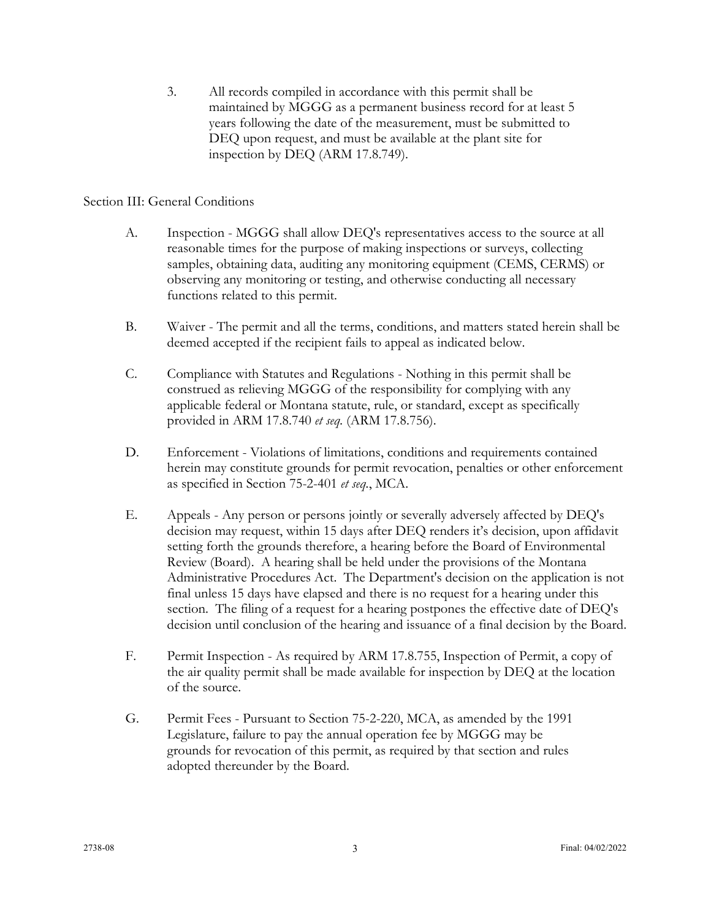3. All records compiled in accordance with this permit shall be maintained by MGGG as a permanent business record for at least 5 years following the date of the measurement, must be submitted to DEQ upon request, and must be available at the plant site for inspection by DEQ (ARM 17.8.749).

## Section III: General Conditions

- A. Inspection MGGG shall allow DEQ's representatives access to the source at all reasonable times for the purpose of making inspections or surveys, collecting samples, obtaining data, auditing any monitoring equipment (CEMS, CERMS) or observing any monitoring or testing, and otherwise conducting all necessary functions related to this permit.
- B. Waiver The permit and all the terms, conditions, and matters stated herein shall be deemed accepted if the recipient fails to appeal as indicated below.
- C. Compliance with Statutes and Regulations Nothing in this permit shall be construed as relieving MGGG of the responsibility for complying with any applicable federal or Montana statute, rule, or standard, except as specifically provided in ARM 17.8.740 *et seq.* (ARM 17.8.756).
- D. Enforcement Violations of limitations, conditions and requirements contained herein may constitute grounds for permit revocation, penalties or other enforcement as specified in Section 75-2-401 *et seq.*, MCA.
- E. Appeals Any person or persons jointly or severally adversely affected by DEQ's decision may request, within 15 days after DEQ renders it's decision, upon affidavit setting forth the grounds therefore, a hearing before the Board of Environmental Review (Board). A hearing shall be held under the provisions of the Montana Administrative Procedures Act. The Department's decision on the application is not final unless 15 days have elapsed and there is no request for a hearing under this section. The filing of a request for a hearing postpones the effective date of DEQ's decision until conclusion of the hearing and issuance of a final decision by the Board.
- F. Permit Inspection As required by ARM 17.8.755, Inspection of Permit, a copy of the air quality permit shall be made available for inspection by DEQ at the location of the source.
- G. Permit Fees Pursuant to Section 75-2-220, MCA, as amended by the 1991 Legislature, failure to pay the annual operation fee by MGGG may be grounds for revocation of this permit, as required by that section and rules adopted thereunder by the Board.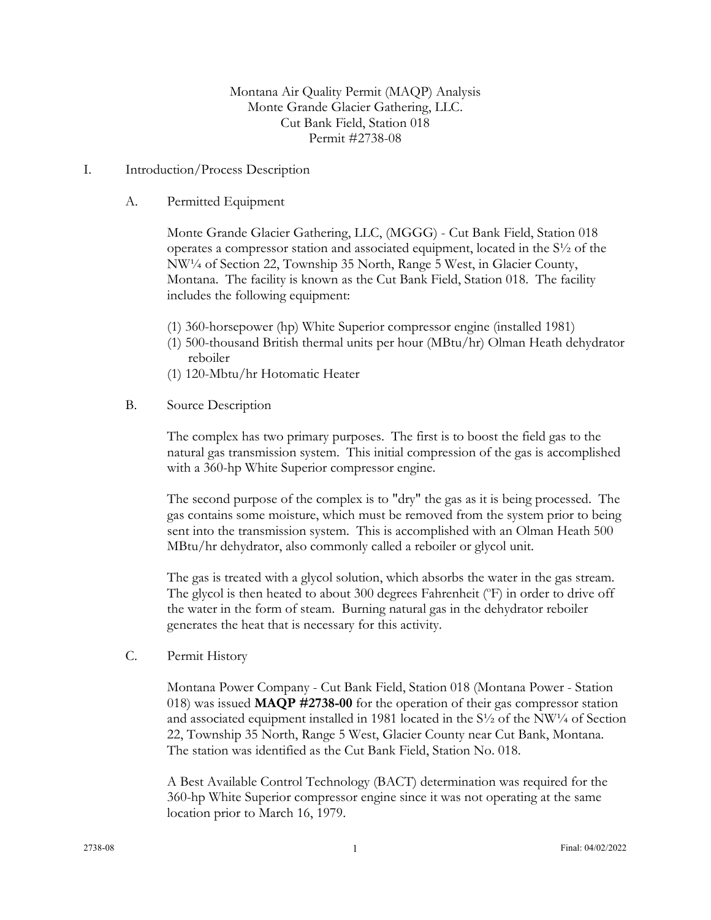Montana Air Quality Permit (MAQP) Analysis Monte Grande Glacier Gathering, LLC. Cut Bank Field, Station 018 Permit #2738-08

#### I. Introduction/Process Description

A. Permitted Equipment

Monte Grande Glacier Gathering, LLC, (MGGG) - Cut Bank Field, Station 018 operates a compressor station and associated equipment, located in the S½ of the NW¼ of Section 22, Township 35 North, Range 5 West, in Glacier County, Montana. The facility is known as the Cut Bank Field, Station 018. The facility includes the following equipment:

- (1) 360-horsepower (hp) White Superior compressor engine (installed 1981)
- (1) 500-thousand British thermal units per hour (MBtu/hr) Olman Heath dehydrator reboiler
- (1) 120-Mbtu/hr Hotomatic Heater
- B. Source Description

The complex has two primary purposes. The first is to boost the field gas to the natural gas transmission system. This initial compression of the gas is accomplished with a 360-hp White Superior compressor engine.

The second purpose of the complex is to "dry" the gas as it is being processed. The gas contains some moisture, which must be removed from the system prior to being sent into the transmission system. This is accomplished with an Olman Heath 500 MBtu/hr dehydrator, also commonly called a reboiler or glycol unit.

The gas is treated with a glycol solution, which absorbs the water in the gas stream. The glycol is then heated to about 300 degrees Fahrenheit (°F) in order to drive off the water in the form of steam. Burning natural gas in the dehydrator reboiler generates the heat that is necessary for this activity.

C. Permit History

Montana Power Company - Cut Bank Field, Station 018 (Montana Power - Station 018) was issued **MAQP #2738-00** for the operation of their gas compressor station and associated equipment installed in 1981 located in the  $S\frac{1}{2}$  of the NW<sup>1</sup>/4 of Section 22, Township 35 North, Range 5 West, Glacier County near Cut Bank, Montana. The station was identified as the Cut Bank Field, Station No. 018.

A Best Available Control Technology (BACT) determination was required for the 360-hp White Superior compressor engine since it was not operating at the same location prior to March 16, 1979.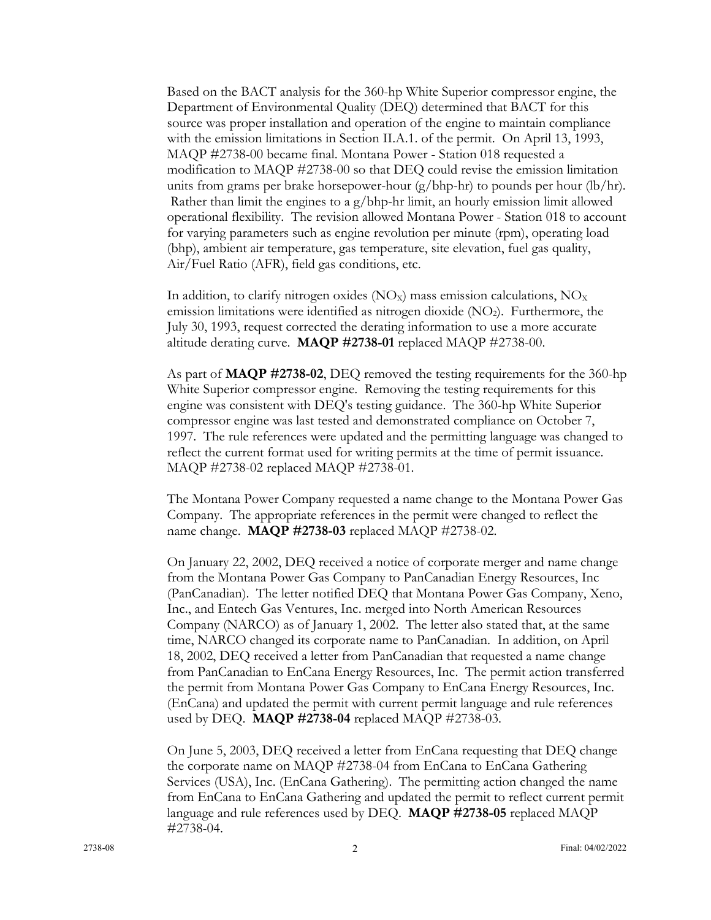Based on the BACT analysis for the 360-hp White Superior compressor engine, the Department of Environmental Quality (DEQ) determined that BACT for this source was proper installation and operation of the engine to maintain compliance with the emission limitations in Section II.A.1. of the permit. On April 13, 1993, MAQP #2738-00 became final. Montana Power - Station 018 requested a modification to MAQP #2738-00 so that DEQ could revise the emission limitation units from grams per brake horsepower-hour  $(g/bhp-hr)$  to pounds per hour  $(lb/hr)$ . Rather than limit the engines to a  $g/b$ hp-hr limit, an hourly emission limit allowed operational flexibility. The revision allowed Montana Power - Station 018 to account for varying parameters such as engine revolution per minute (rpm), operating load (bhp), ambient air temperature, gas temperature, site elevation, fuel gas quality, Air/Fuel Ratio (AFR), field gas conditions, etc.

In addition, to clarify nitrogen oxides  $(NO<sub>X</sub>)$  mass emission calculations,  $NO<sub>X</sub>$ emission limitations were identified as nitrogen dioxide  $(NO<sub>2</sub>)$ . Furthermore, the July 30, 1993, request corrected the derating information to use a more accurate altitude derating curve. **MAQP #2738-01** replaced MAQP #2738-00.

As part of **MAQP #2738-02**, DEQ removed the testing requirements for the 360-hp White Superior compressor engine. Removing the testing requirements for this engine was consistent with DEQ's testing guidance. The 360-hp White Superior compressor engine was last tested and demonstrated compliance on October 7, 1997. The rule references were updated and the permitting language was changed to reflect the current format used for writing permits at the time of permit issuance. MAQP #2738-02 replaced MAQP #2738-01.

The Montana Power Company requested a name change to the Montana Power Gas Company. The appropriate references in the permit were changed to reflect the name change. **MAQP #2738-03** replaced MAQP #2738-02.

On January 22, 2002, DEQ received a notice of corporate merger and name change from the Montana Power Gas Company to PanCanadian Energy Resources, Inc (PanCanadian). The letter notified DEQ that Montana Power Gas Company, Xeno, Inc., and Entech Gas Ventures, Inc. merged into North American Resources Company (NARCO) as of January 1, 2002. The letter also stated that, at the same time, NARCO changed its corporate name to PanCanadian. In addition, on April 18, 2002, DEQ received a letter from PanCanadian that requested a name change from PanCanadian to EnCana Energy Resources, Inc. The permit action transferred the permit from Montana Power Gas Company to EnCana Energy Resources, Inc. (EnCana) and updated the permit with current permit language and rule references used by DEQ. **MAQP #2738-04** replaced MAQP #2738-03.

On June 5, 2003, DEQ received a letter from EnCana requesting that DEQ change the corporate name on MAQP #2738-04 from EnCana to EnCana Gathering Services (USA), Inc. (EnCana Gathering). The permitting action changed the name from EnCana to EnCana Gathering and updated the permit to reflect current permit language and rule references used by DEQ. **MAQP #2738-05** replaced MAQP #2738-04.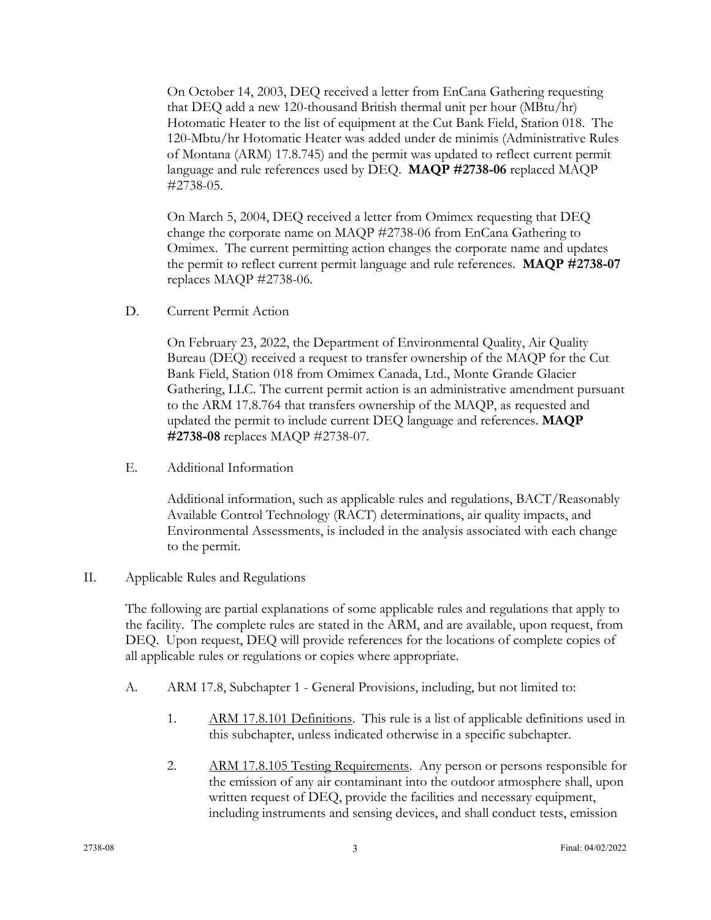On October 14, 2003, DEQ received a letter from EnCana Gathering requesting that DEQ add a new 120-thousand British thermal unit per hour (MBtu/hr) Hotomatic Heater to the list of equipment at the Cut Bank Field, Station 018. The 120-Mbtu/hr Hotomatic Heater was added under de minimis (Administrative Rules of Montana (ARM) 17.8.745) and the permit was updated to reflect current permit language and rule references used by DEQ. **MAQP #2738-06** replaced MAQP #2738-05.

On March 5, 2004, DEQ received a letter from Omimex requesting that DEQ change the corporate name on MAQP #2738-06 from EnCana Gathering to Omimex. The current permitting action changes the corporate name and updates the permit to reflect current permit language and rule references. **MAQP #2738-07** replaces MAQP #2738-06.

D. Current Permit Action

On February 23, 2022, the Department of Environmental Quality, Air Quality Bureau (DEQ) received a request to transfer ownership of the MAQP for the Cut Bank Field, Station 018 from Omimex Canada, Ltd., Monte Grande Glacier Gathering, LLC. The current permit action is an administrative amendment pursuant to the ARM 17.8.764 that transfers ownership of the MAQP, as requested and updated the permit to include current DEQ language and references. **MAQP #2738-08** replaces MAQP #2738-07.

E. Additional Information

Additional information, such as applicable rules and regulations, BACT/Reasonably Available Control Technology (RACT) determinations, air quality impacts, and Environmental Assessments, is included in the analysis associated with each change to the permit.

## II. Applicable Rules and Regulations

The following are partial explanations of some applicable rules and regulations that apply to the facility. The complete rules are stated in the ARM, and are available, upon request, from DEQ. Upon request, DEQ will provide references for the locations of complete copies of all applicable rules or regulations or copies where appropriate.

- A. ARM 17.8, Subchapter 1 General Provisions, including, but not limited to:
	- 1. ARM 17.8.101 Definitions. This rule is a list of applicable definitions used in this subchapter, unless indicated otherwise in a specific subchapter.
	- 2. ARM 17.8.105 Testing Requirements. Any person or persons responsible for the emission of any air contaminant into the outdoor atmosphere shall, upon written request of DEQ, provide the facilities and necessary equipment, including instruments and sensing devices, and shall conduct tests, emission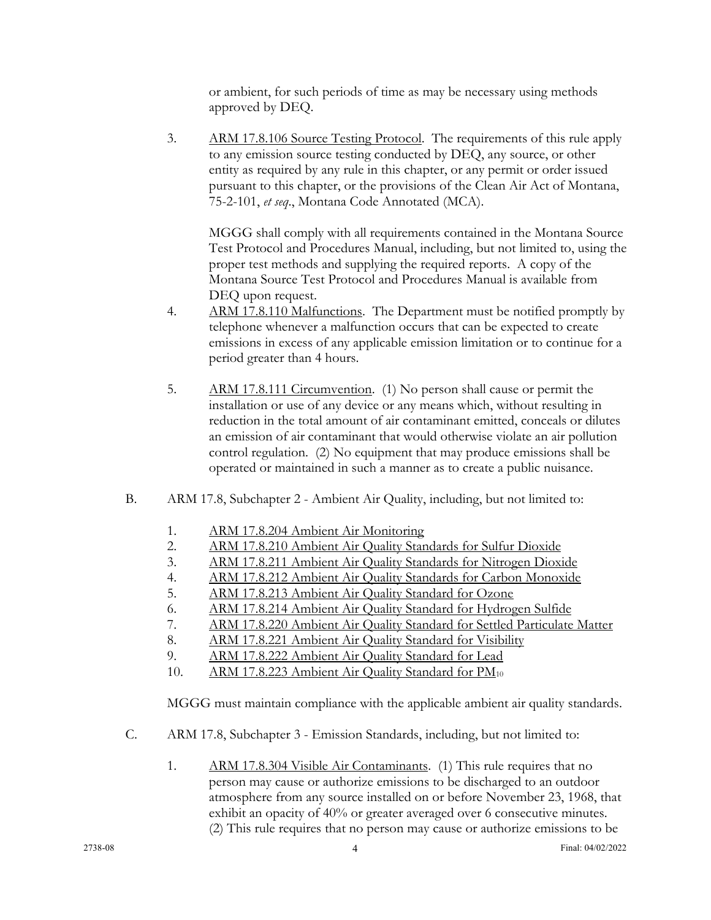or ambient, for such periods of time as may be necessary using methods approved by DEQ.

3. ARM 17.8.106 Source Testing Protocol. The requirements of this rule apply to any emission source testing conducted by DEQ, any source, or other entity as required by any rule in this chapter, or any permit or order issued pursuant to this chapter, or the provisions of the Clean Air Act of Montana, 75-2-101, *et seq*., Montana Code Annotated (MCA).

MGGG shall comply with all requirements contained in the Montana Source Test Protocol and Procedures Manual, including, but not limited to, using the proper test methods and supplying the required reports. A copy of the Montana Source Test Protocol and Procedures Manual is available from DEQ upon request.

- 4. ARM 17.8.110 Malfunctions. The Department must be notified promptly by telephone whenever a malfunction occurs that can be expected to create emissions in excess of any applicable emission limitation or to continue for a period greater than 4 hours.
- 5. ARM 17.8.111 Circumvention. (1) No person shall cause or permit the installation or use of any device or any means which, without resulting in reduction in the total amount of air contaminant emitted, conceals or dilutes an emission of air contaminant that would otherwise violate an air pollution control regulation. (2) No equipment that may produce emissions shall be operated or maintained in such a manner as to create a public nuisance.
- B. ARM 17.8, Subchapter 2 Ambient Air Quality, including, but not limited to:
	- 1. ARM 17.8.204 Ambient Air Monitoring
	- 2. ARM 17.8.210 Ambient Air Quality Standards for Sulfur Dioxide
	- 3. ARM 17.8.211 Ambient Air Quality Standards for Nitrogen Dioxide
	- 4. ARM 17.8.212 Ambient Air Quality Standards for Carbon Monoxide
	- 5. ARM 17.8.213 Ambient Air Quality Standard for Ozone
	- 6. ARM 17.8.214 Ambient Air Quality Standard for Hydrogen Sulfide
	- 7. ARM 17.8.220 Ambient Air Quality Standard for Settled Particulate Matter
	- 8. ARM 17.8.221 Ambient Air Quality Standard for Visibility
	- 9. ARM 17.8.222 Ambient Air Quality Standard for Lead
	- 10. ARM 17.8.223 Ambient Air Quality Standard for PM<sub>10</sub>

MGGG must maintain compliance with the applicable ambient air quality standards.

- C. ARM 17.8, Subchapter 3 Emission Standards, including, but not limited to:
	- 1. ARM 17.8.304 Visible Air Contaminants. (1) This rule requires that no person may cause or authorize emissions to be discharged to an outdoor atmosphere from any source installed on or before November 23, 1968, that exhibit an opacity of 40% or greater averaged over 6 consecutive minutes. (2) This rule requires that no person may cause or authorize emissions to be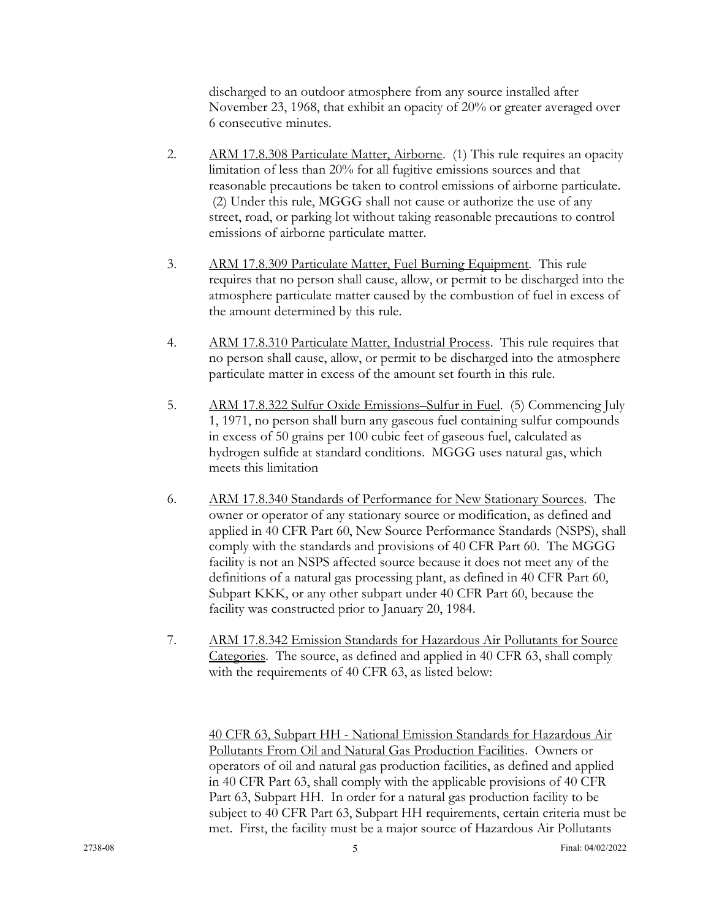discharged to an outdoor atmosphere from any source installed after November 23, 1968, that exhibit an opacity of 20% or greater averaged over 6 consecutive minutes.

- 2. ARM 17.8.308 Particulate Matter, Airborne. (1) This rule requires an opacity limitation of less than 20% for all fugitive emissions sources and that reasonable precautions be taken to control emissions of airborne particulate. (2) Under this rule, MGGG shall not cause or authorize the use of any street, road, or parking lot without taking reasonable precautions to control emissions of airborne particulate matter.
- 3. ARM 17.8.309 Particulate Matter, Fuel Burning Equipment. This rule requires that no person shall cause, allow, or permit to be discharged into the atmosphere particulate matter caused by the combustion of fuel in excess of the amount determined by this rule.
- 4. ARM 17.8.310 Particulate Matter, Industrial Process. This rule requires that no person shall cause, allow, or permit to be discharged into the atmosphere particulate matter in excess of the amount set fourth in this rule.
- 5. ARM 17.8.322 Sulfur Oxide Emissions–Sulfur in Fuel. (5) Commencing July 1, 1971, no person shall burn any gaseous fuel containing sulfur compounds in excess of 50 grains per 100 cubic feet of gaseous fuel, calculated as hydrogen sulfide at standard conditions. MGGG uses natural gas, which meets this limitation
- 6. ARM 17.8.340 Standards of Performance for New Stationary Sources. The owner or operator of any stationary source or modification, as defined and applied in 40 CFR Part 60, New Source Performance Standards (NSPS), shall comply with the standards and provisions of 40 CFR Part 60. The MGGG facility is not an NSPS affected source because it does not meet any of the definitions of a natural gas processing plant, as defined in 40 CFR Part 60, Subpart KKK, or any other subpart under 40 CFR Part 60, because the facility was constructed prior to January 20, 1984.
- 7. ARM 17.8.342 Emission Standards for Hazardous Air Pollutants for Source Categories. The source, as defined and applied in 40 CFR 63, shall comply with the requirements of 40 CFR 63, as listed below:

40 CFR 63, Subpart HH - National Emission Standards for Hazardous Air Pollutants From Oil and Natural Gas Production Facilities. Owners or operators of oil and natural gas production facilities, as defined and applied in 40 CFR Part 63, shall comply with the applicable provisions of 40 CFR Part 63, Subpart HH. In order for a natural gas production facility to be subject to 40 CFR Part 63, Subpart HH requirements, certain criteria must be met. First, the facility must be a major source of Hazardous Air Pollutants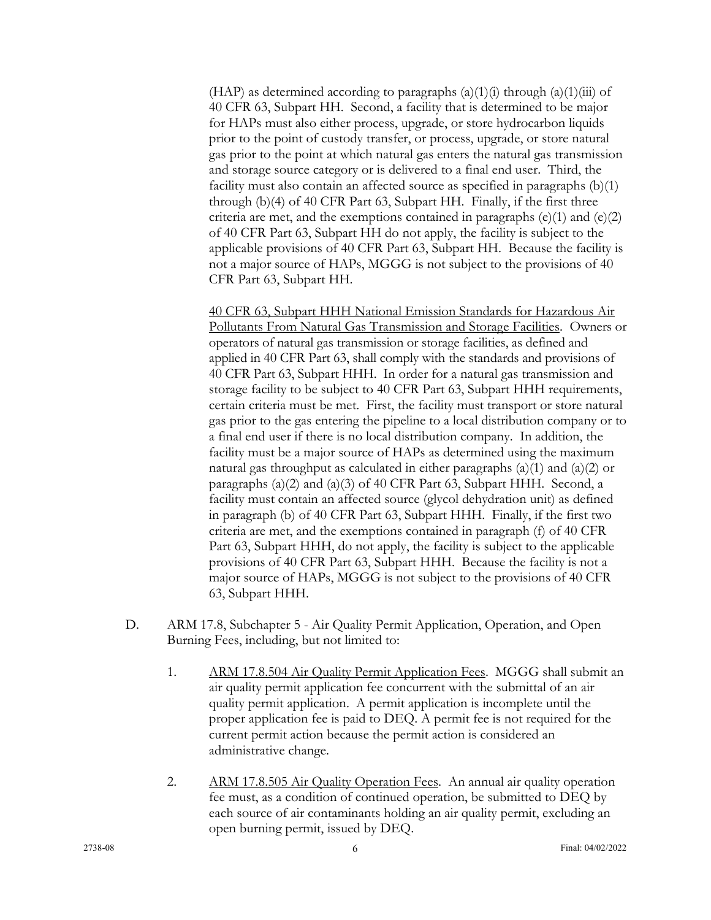(HAP) as determined according to paragraphs  $(a)(1)(i)$  through  $(a)(1)(iii)$  of 40 CFR 63, Subpart HH. Second, a facility that is determined to be major for HAPs must also either process, upgrade, or store hydrocarbon liquids prior to the point of custody transfer, or process, upgrade, or store natural gas prior to the point at which natural gas enters the natural gas transmission and storage source category or is delivered to a final end user. Third, the facility must also contain an affected source as specified in paragraphs (b)(1) through (b)(4) of 40 CFR Part 63, Subpart HH. Finally, if the first three criteria are met, and the exemptions contained in paragraphs  $(e)(1)$  and  $(e)(2)$ of 40 CFR Part 63, Subpart HH do not apply, the facility is subject to the applicable provisions of 40 CFR Part 63, Subpart HH. Because the facility is not a major source of HAPs, MGGG is not subject to the provisions of 40 CFR Part 63, Subpart HH.

40 CFR 63, Subpart HHH National Emission Standards for Hazardous Air Pollutants From Natural Gas Transmission and Storage Facilities. Owners or operators of natural gas transmission or storage facilities, as defined and applied in 40 CFR Part 63, shall comply with the standards and provisions of 40 CFR Part 63, Subpart HHH. In order for a natural gas transmission and storage facility to be subject to 40 CFR Part 63, Subpart HHH requirements, certain criteria must be met. First, the facility must transport or store natural gas prior to the gas entering the pipeline to a local distribution company or to a final end user if there is no local distribution company. In addition, the facility must be a major source of HAPs as determined using the maximum natural gas throughput as calculated in either paragraphs  $(a)(1)$  and  $(a)(2)$  or paragraphs (a)(2) and (a)(3) of 40 CFR Part 63, Subpart HHH. Second, a facility must contain an affected source (glycol dehydration unit) as defined in paragraph (b) of 40 CFR Part 63, Subpart HHH. Finally, if the first two criteria are met, and the exemptions contained in paragraph (f) of 40 CFR Part 63, Subpart HHH, do not apply, the facility is subject to the applicable provisions of 40 CFR Part 63, Subpart HHH. Because the facility is not a major source of HAPs, MGGG is not subject to the provisions of 40 CFR 63, Subpart HHH.

- D. ARM 17.8, Subchapter 5 Air Quality Permit Application, Operation, and Open Burning Fees, including, but not limited to:
	- 1. ARM 17.8.504 Air Quality Permit Application Fees. MGGG shall submit an air quality permit application fee concurrent with the submittal of an air quality permit application. A permit application is incomplete until the proper application fee is paid to DEQ. A permit fee is not required for the current permit action because the permit action is considered an administrative change.
	- 2. ARM 17.8.505 Air Quality Operation Fees. An annual air quality operation fee must, as a condition of continued operation, be submitted to DEQ by each source of air contaminants holding an air quality permit, excluding an open burning permit, issued by DEQ.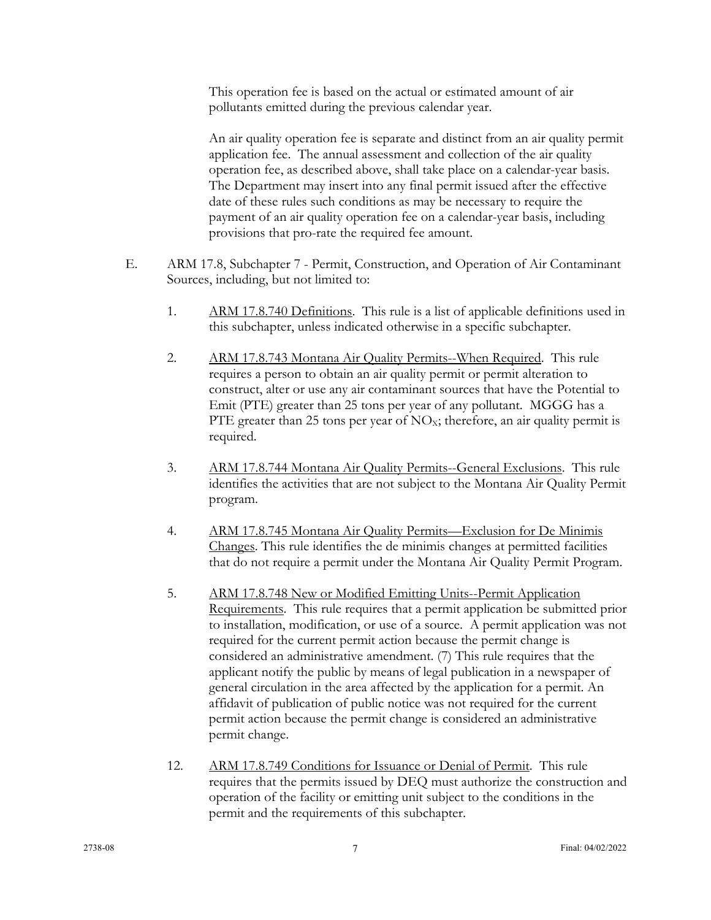This operation fee is based on the actual or estimated amount of air pollutants emitted during the previous calendar year.

An air quality operation fee is separate and distinct from an air quality permit application fee. The annual assessment and collection of the air quality operation fee, as described above, shall take place on a calendar-year basis. The Department may insert into any final permit issued after the effective date of these rules such conditions as may be necessary to require the payment of an air quality operation fee on a calendar-year basis, including provisions that pro-rate the required fee amount.

- E. ARM 17.8, Subchapter 7 Permit, Construction, and Operation of Air Contaminant Sources, including, but not limited to:
	- 1. ARM 17.8.740 Definitions. This rule is a list of applicable definitions used in this subchapter, unless indicated otherwise in a specific subchapter.
	- 2. ARM 17.8.743 Montana Air Quality Permits--When Required. This rule requires a person to obtain an air quality permit or permit alteration to construct, alter or use any air contaminant sources that have the Potential to Emit (PTE) greater than 25 tons per year of any pollutant. MGGG has a PTE greater than 25 tons per year of  $NO<sub>X</sub>$ ; therefore, an air quality permit is required.
	- 3. ARM 17.8.744 Montana Air Quality Permits--General Exclusions. This rule identifies the activities that are not subject to the Montana Air Quality Permit program.
	- 4. ARM 17.8.745 Montana Air Quality Permits—Exclusion for De Minimis Changes. This rule identifies the de minimis changes at permitted facilities that do not require a permit under the Montana Air Quality Permit Program.
	- 5. ARM 17.8.748 New or Modified Emitting Units--Permit Application Requirements. This rule requires that a permit application be submitted prior to installation, modification, or use of a source. A permit application was not required for the current permit action because the permit change is considered an administrative amendment. (7) This rule requires that the applicant notify the public by means of legal publication in a newspaper of general circulation in the area affected by the application for a permit. An affidavit of publication of public notice was not required for the current permit action because the permit change is considered an administrative permit change.
	- 12. ARM 17.8.749 Conditions for Issuance or Denial of Permit. This rule requires that the permits issued by DEQ must authorize the construction and operation of the facility or emitting unit subject to the conditions in the permit and the requirements of this subchapter.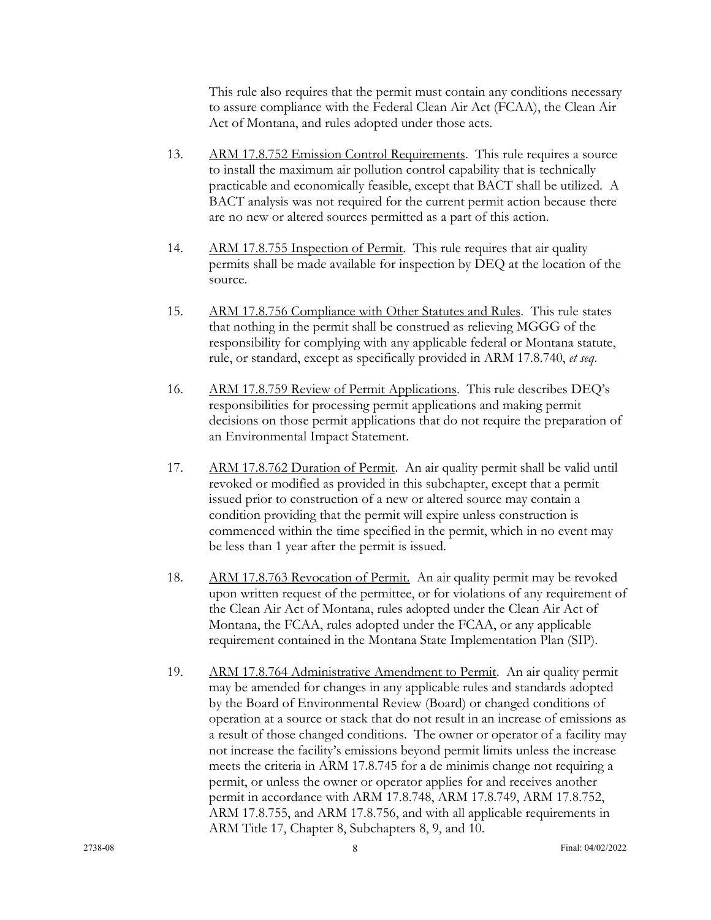This rule also requires that the permit must contain any conditions necessary to assure compliance with the Federal Clean Air Act (FCAA), the Clean Air Act of Montana, and rules adopted under those acts.

- 13. ARM 17.8.752 Emission Control Requirements. This rule requires a source to install the maximum air pollution control capability that is technically practicable and economically feasible, except that BACT shall be utilized. A BACT analysis was not required for the current permit action because there are no new or altered sources permitted as a part of this action.
- 14. ARM 17.8.755 Inspection of Permit. This rule requires that air quality permits shall be made available for inspection by DEQ at the location of the source.
- 15. ARM 17.8.756 Compliance with Other Statutes and Rules. This rule states that nothing in the permit shall be construed as relieving MGGG of the responsibility for complying with any applicable federal or Montana statute, rule, or standard, except as specifically provided in ARM 17.8.740, *et seq*.
- 16. ARM 17.8.759 Review of Permit Applications. This rule describes DEQ's responsibilities for processing permit applications and making permit decisions on those permit applications that do not require the preparation of an Environmental Impact Statement.
- 17. ARM 17.8.762 Duration of Permit. An air quality permit shall be valid until revoked or modified as provided in this subchapter, except that a permit issued prior to construction of a new or altered source may contain a condition providing that the permit will expire unless construction is commenced within the time specified in the permit, which in no event may be less than 1 year after the permit is issued.
- 18. ARM 17.8.763 Revocation of Permit. An air quality permit may be revoked upon written request of the permittee, or for violations of any requirement of the Clean Air Act of Montana, rules adopted under the Clean Air Act of Montana, the FCAA, rules adopted under the FCAA, or any applicable requirement contained in the Montana State Implementation Plan (SIP).
- 19. ARM 17.8.764 Administrative Amendment to Permit. An air quality permit may be amended for changes in any applicable rules and standards adopted by the Board of Environmental Review (Board) or changed conditions of operation at a source or stack that do not result in an increase of emissions as a result of those changed conditions. The owner or operator of a facility may not increase the facility's emissions beyond permit limits unless the increase meets the criteria in ARM 17.8.745 for a de minimis change not requiring a permit, or unless the owner or operator applies for and receives another permit in accordance with ARM 17.8.748, ARM 17.8.749, ARM 17.8.752, ARM 17.8.755, and ARM 17.8.756, and with all applicable requirements in ARM Title 17, Chapter 8, Subchapters 8, 9, and 10.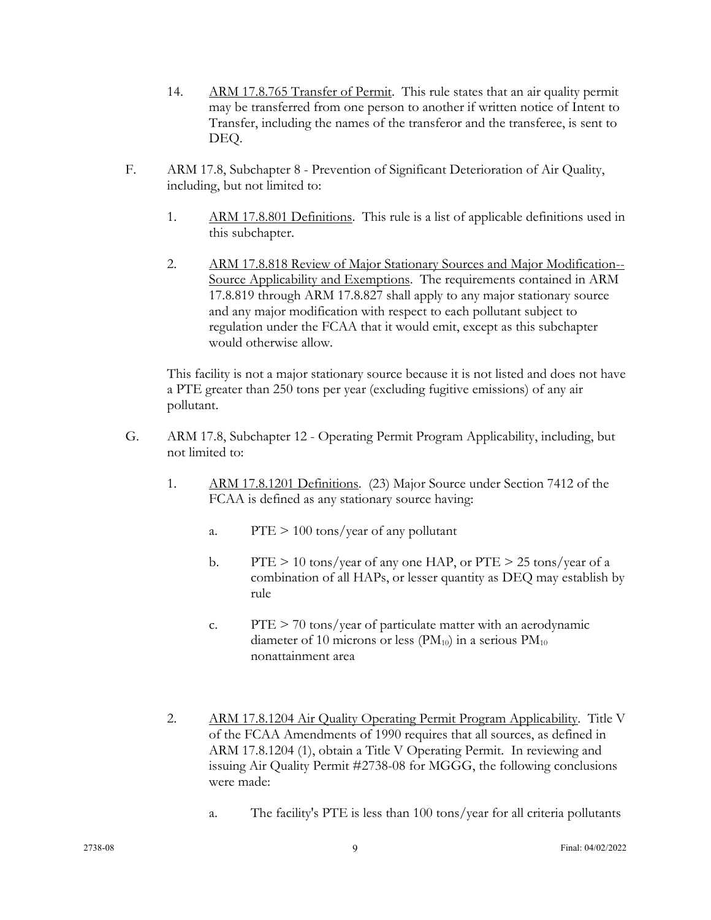- 14. ARM 17.8.765 Transfer of Permit. This rule states that an air quality permit may be transferred from one person to another if written notice of Intent to Transfer, including the names of the transferor and the transferee, is sent to DEQ.
- F. ARM 17.8, Subchapter 8 Prevention of Significant Deterioration of Air Quality, including, but not limited to:
	- 1. ARM 17.8.801 Definitions. This rule is a list of applicable definitions used in this subchapter.
	- 2. ARM 17.8.818 Review of Major Stationary Sources and Major Modification-- Source Applicability and Exemptions. The requirements contained in ARM 17.8.819 through ARM 17.8.827 shall apply to any major stationary source and any major modification with respect to each pollutant subject to regulation under the FCAA that it would emit, except as this subchapter would otherwise allow.

This facility is not a major stationary source because it is not listed and does not have a PTE greater than 250 tons per year (excluding fugitive emissions) of any air pollutant.

- G. ARM 17.8, Subchapter 12 Operating Permit Program Applicability, including, but not limited to:
	- 1. ARM 17.8.1201 Definitions. (23) Major Source under Section 7412 of the FCAA is defined as any stationary source having:
		- a.  $PTE > 100 \text{ tons/year of any pollutant}$
		- b. PTE  $> 10$  tons/year of any one HAP, or PTE  $> 25$  tons/year of a combination of all HAPs, or lesser quantity as DEQ may establish by rule
		- c.  $PTE > 70$  tons/year of particulate matter with an aerodynamic diameter of 10 microns or less ( $PM_{10}$ ) in a serious  $PM_{10}$ nonattainment area
	- 2. ARM 17.8.1204 Air Quality Operating Permit Program Applicability. Title V of the FCAA Amendments of 1990 requires that all sources, as defined in ARM 17.8.1204 (1), obtain a Title V Operating Permit. In reviewing and issuing Air Quality Permit #2738-08 for MGGG, the following conclusions were made:
		- a. The facility's PTE is less than 100 tons/year for all criteria pollutants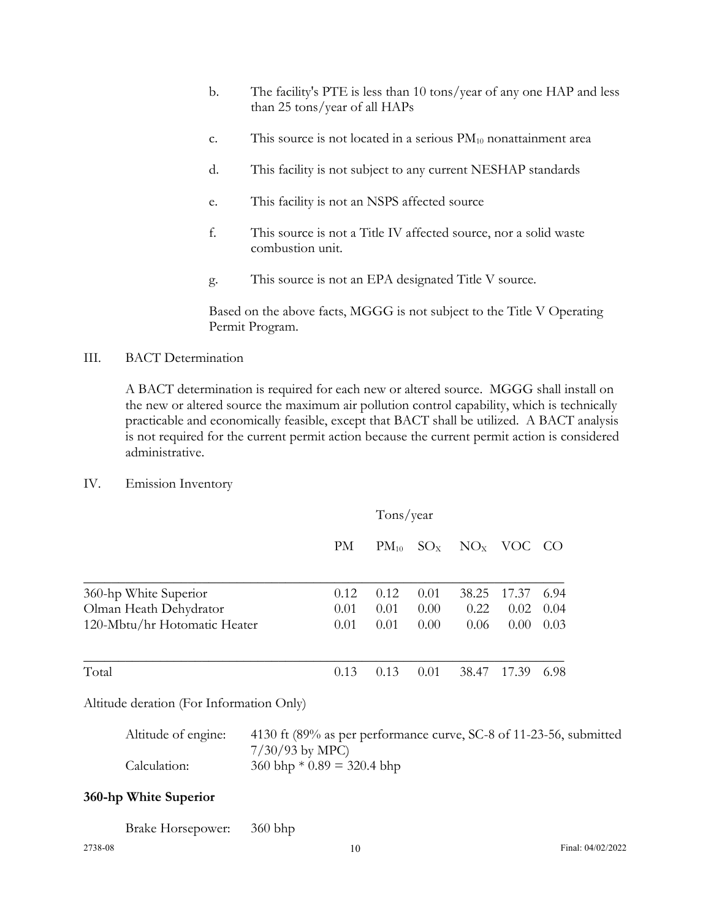- b. The facility's PTE is less than 10 tons/year of any one HAP and less than 25 tons/year of all HAPs
- c. This source is not located in a serious  $PM_{10}$  nonattainment area
- d. This facility is not subject to any current NESHAP standards
- e. This facility is not an NSPS affected source
- f. This source is not a Title IV affected source, nor a solid waste combustion unit.
- g. This source is not an EPA designated Title V source.

Based on the above facts, MGGG is not subject to the Title V Operating Permit Program.

III. BACT Determination

A BACT determination is required for each new or altered source. MGGG shall install on the new or altered source the maximum air pollution control capability, which is technically practicable and economically feasible, except that BACT shall be utilized. A BACT analysis is not required for the current permit action because the current permit action is considered administrative.

IV. Emission Inventory

|                              |      | Tons/year |          |          |        |      |
|------------------------------|------|-----------|----------|----------|--------|------|
|                              | PM   | $PM_{10}$ | $SO_{X}$ | $NO_{X}$ | VOC CO |      |
| 360-hp White Superior        | 0.12 | 0.12      | 0.01     | 38.25    | 17.37  | 6.94 |
| Olman Heath Dehydrator       | 0.01 | 0.01      | 0.00     | 0.22     | 0.02   | 0.04 |
| 120-Mbtu/hr Hotomatic Heater | 0.01 | 0.01      | 0.00     | 0.06     | 0.00   | 0.03 |
| Total                        | 0.13 | 0.13      | 0.01     | 38.47    | 17.39  | 6.98 |

Altitude deration (For Information Only)

| Altitude of engine: | 4130 ft (89% as per performance curve, SC-8 of 11-23-56, submitted |
|---------------------|--------------------------------------------------------------------|
|                     | $7/30/93$ by MPC)                                                  |
| Calculation:        | $360 \text{ bhp} * 0.89 = 320.4 \text{ bhp}$                       |

## **360-hp White Superior**

| <b>Brake Horsepower:</b> | 360 bhp |
|--------------------------|---------|
|                          |         |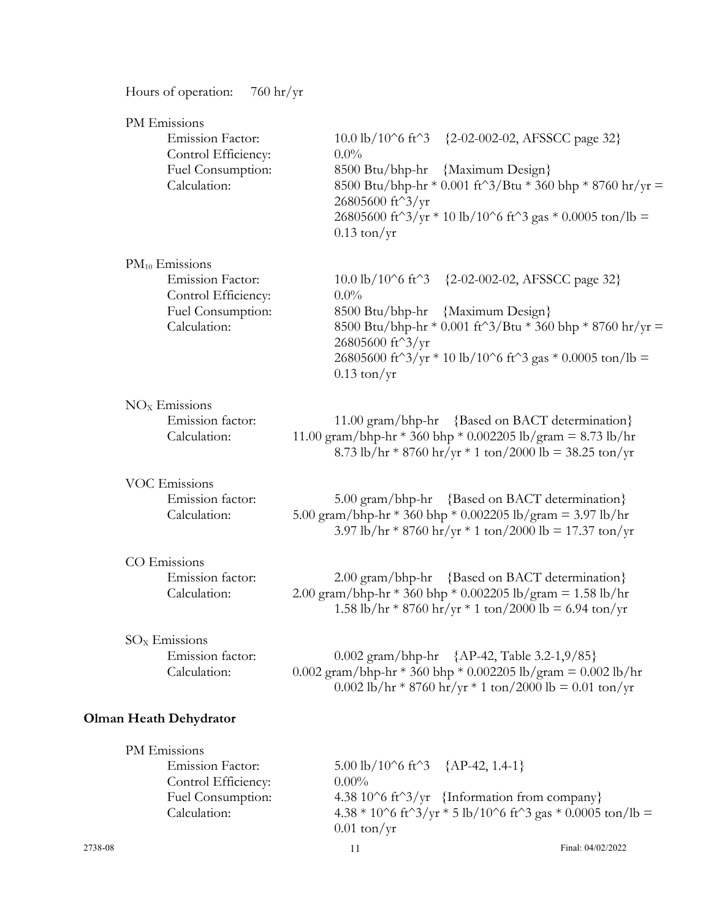| $760 \frac{\text{hr}}{\text{yr}}$<br>Hours of operation:                                                   |                                                                                                                                                                                                                                                                                                                |
|------------------------------------------------------------------------------------------------------------|----------------------------------------------------------------------------------------------------------------------------------------------------------------------------------------------------------------------------------------------------------------------------------------------------------------|
| PM Emissions<br><b>Emission Factor:</b><br>Control Efficiency:<br>Fuel Consumption:<br>Calculation:        | $10.0 \text{ lb} / 10^{\circ} 6 \text{ ft}^{\circ} 3$<br>{2-02-002-02, AFSSCC page 32}<br>$0.0\%$<br>{Maximum Design}<br>8500 Btu/bhp-hr<br>8500 Btu/bhp-hr * 0.001 ft^3/Btu * 360 bhp * 8760 hr/yr =<br>26805600 ft^3/yr<br>26805600 ft^3/yr * 10 lb/10^6 ft^3 gas * 0.0005 ton/lb =<br>$0.13 \text{ ton/yr}$ |
| $PM_{10}$ Emissions<br><b>Emission Factor:</b><br>Control Efficiency:<br>Fuel Consumption:<br>Calculation: | $10.0 \text{ lb} / 10^{\circ} 6 \text{ ft}^{\circ} 3$<br>{2-02-002-02, AFSSCC page 32}<br>$0.0\%$<br>8500 Btu/bhp-hr {Maximum Design}<br>8500 Btu/bhp-hr * 0.001 ft^3/Btu * 360 bhp * 8760 hr/yr =<br>26805600 ft^3/yr<br>26805600 ft^3/yr * 10 lb/10^6 ft^3 gas * 0.0005 ton/lb =<br>$0.13 \text{ ton/yr}$    |
| $NOx$ Emissions<br>Emission factor:<br>Calculation:                                                        | 11.00 gram/bhp-hr {Based on BACT determination}<br>11.00 gram/bhp-hr * 360 bhp * 0.002205 lb/gram = 8.73 lb/hr<br>8.73 lb/hr * 8760 hr/yr * 1 ton/2000 lb = 38.25 ton/yr                                                                                                                                       |
| <b>VOC Emissions</b><br>Emission factor:<br>Calculation:                                                   | 5.00 gram/bhp-hr {Based on BACT determination}<br>5.00 gram/bhp-hr * 360 bhp * 0.002205 lb/gram = 3.97 lb/hr<br>3.97 lb/hr * 8760 hr/yr * 1 ton/2000 lb = 17.37 ton/yr                                                                                                                                         |
| CO Emissions<br>Emission factor:<br>Calculation:                                                           | $2.00 \text{ gram/bhp-hr}$<br>{Based on BACT determination}<br>2.00 gram/bhp-hr * 360 bhp * 0.002205 lb/gram = 1.58 lb/hr<br>1.58 lb/hr * 8760 hr/yr * 1 ton/2000 lb = 6.94 ton/yr                                                                                                                             |
| $SOx$ Emissions<br>Emission factor:<br>Calculation:                                                        | 0.002 gram/bhp-hr {AP-42, Table 3.2-1,9/85}<br>0.002 gram/bhp-hr * 360 bhp * 0.002205 lb/gram = 0.002 lb/hr<br>0.002 lb/hr * 8760 hr/yr * 1 ton/2000 lb = 0.01 ton/yr                                                                                                                                          |
| <b>Olman Heath Dehydrator</b>                                                                              |                                                                                                                                                                                                                                                                                                                |
| PM Emissions<br>Emission Factor:<br>Control Efficiency:<br>Fuel Consumption:                               | 5.00 lb/10^6 ft^3 {AP-42, 1.4-1}<br>$0.00\%$<br>4.38 10^6 ft^3/yr {Information from company}                                                                                                                                                                                                                   |

 $0.01$  ton/yr

Calculation:  $4.38 * 10^6$  ft<sup>^3</sup>/yr  $*$  5 lb/10^6 ft<sup>^3</sup> gas  $*$  0.0005 ton/lb =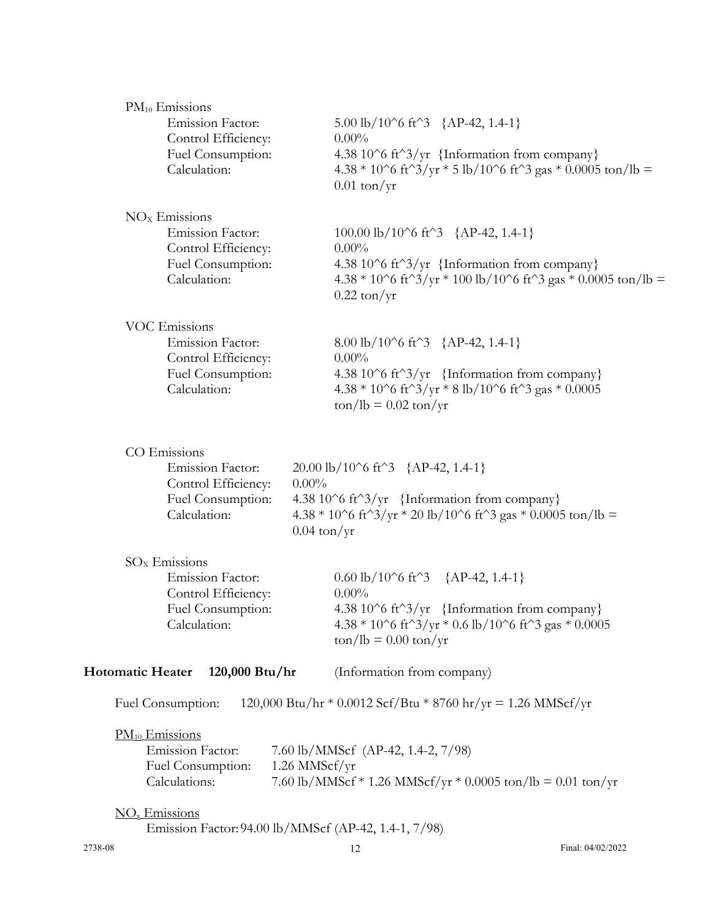| $PM_{10}$ Emissions                       |                                                                                                                    |                                                                                                                                           |
|-------------------------------------------|--------------------------------------------------------------------------------------------------------------------|-------------------------------------------------------------------------------------------------------------------------------------------|
| Emission Factor:                          | 5.00 lb/10^6 ft^3 {AP-42, 1.4-1}                                                                                   |                                                                                                                                           |
| Control Efficiency:                       | $0.00\%$                                                                                                           |                                                                                                                                           |
| Fuel Consumption:                         | 4.38 10^6 ft^3/yr {Information from company}                                                                       |                                                                                                                                           |
| Calculation:                              |                                                                                                                    | 4.38 * 10^6 ft^3/yr * 5 lb/10^6 ft^3 gas * 0.0005 ton/lb =                                                                                |
|                                           | $0.01 \text{ ton/yr}$                                                                                              |                                                                                                                                           |
| $NOx$ Emissions                           |                                                                                                                    |                                                                                                                                           |
| Emission Factor:                          | 100.00 lb/10^6 ft^3 {AP-42, 1.4-1}                                                                                 |                                                                                                                                           |
| Control Efficiency:                       | $0.00\%$                                                                                                           |                                                                                                                                           |
| Fuel Consumption:                         | 4.38 10^6 ft^3/yr {Information from company}                                                                       |                                                                                                                                           |
| Calculation:                              |                                                                                                                    | $4.38 * 10^6$ ft <sup><math>\gamma</math></sup> 3/yr $* 100$ lb/10 $\gamma$ 6 ft <sup><math>\gamma</math></sup> 3 gas $* 0.0005$ ton/lb = |
|                                           | $0.22 \text{ ton/yr}$                                                                                              |                                                                                                                                           |
| <b>VOC Emissions</b>                      |                                                                                                                    |                                                                                                                                           |
| Emission Factor:                          | 8.00 lb/10^6 ft^3 {AP-42, 1.4-1}                                                                                   |                                                                                                                                           |
| Control Efficiency:                       | $0.00\%$                                                                                                           |                                                                                                                                           |
| Fuel Consumption:                         | 4.38 10^6 ft^3/yr {Information from company}                                                                       |                                                                                                                                           |
| Calculation:                              | $4.38 * 10^{6}$ ft <sup><math>\gamma</math></sup> 3/yr $*$ 8 lb/10 $\gamma$ 6 ft $\gamma$ 3 gas $*$ 0.0005         |                                                                                                                                           |
|                                           | $\frac{\tan(\theta)}{B} = 0.02 \tan(\theta)$                                                                       |                                                                                                                                           |
|                                           |                                                                                                                    |                                                                                                                                           |
| CO Emissions                              |                                                                                                                    |                                                                                                                                           |
| Emission Factor:                          | $20.00 \text{ lb} / 10^6 \text{ ft}^3$ {AP-42, 1.4-1}                                                              |                                                                                                                                           |
| Control Efficiency:                       | $0.00\%$                                                                                                           |                                                                                                                                           |
| Fuel Consumption:                         | 4.38 10^6 ft^3/yr {Information from company}                                                                       |                                                                                                                                           |
| Calculation:                              | $4.38 * 10^6$ ft <sup><math>\gamma</math></sup> 3/yr $*$ 20 lb/10 $\gamma$ 6 ft $\gamma$ 3 gas $*$ 0.0005 ton/lb = |                                                                                                                                           |
|                                           | $0.04 \text{ ton/yr}$                                                                                              |                                                                                                                                           |
| $SOx$ Emissions                           |                                                                                                                    |                                                                                                                                           |
| Emission Factor:                          | $0.60 \text{ lb}/10^{\circ}6 \text{ ft}^{\circ}3$ {AP-42, 1.4-1}                                                   |                                                                                                                                           |
| Control Efficiency:                       | $0.00\%$                                                                                                           |                                                                                                                                           |
| Fuel Consumption:                         | 4.38 10^6 ft^3/yr {Information from company}                                                                       |                                                                                                                                           |
| Calculation:                              | $4.38 * 10^{6}$ ft <sup><math>\gamma</math></sup> 3/yr $*$ 0.6 lb/10 $\gamma$ 6 ft $\gamma$ 3 gas $*$ 0.0005       |                                                                                                                                           |
|                                           | $\frac{\tan(\theta)}{B} = 0.00 \frac{\tan(\theta)}{T}$                                                             |                                                                                                                                           |
| <b>Hotomatic Heater</b><br>120,000 Btu/hr | (Information from company)                                                                                         |                                                                                                                                           |
| Fuel Consumption:                         | 120,000 Btu/hr * 0.0012 Scf/Btu * 8760 hr/yr = 1.26 MMScf/yr                                                       |                                                                                                                                           |
|                                           |                                                                                                                    |                                                                                                                                           |
| PM <sub>10</sub> Emissions                |                                                                                                                    |                                                                                                                                           |
| <b>Emission Factor:</b>                   | 7.60 lb/MMScf (AP-42, 1.4-2, 7/98)                                                                                 |                                                                                                                                           |
| Fuel Consumption:                         | 1.26 MMScf/yr                                                                                                      |                                                                                                                                           |
| Calculations:                             | 7.60 lb/MMScf * 1.26 MMScf/yr * 0.0005 ton/lb = 0.01 ton/yr                                                        |                                                                                                                                           |
| $\underline{NO_x}$ Emissions              |                                                                                                                    |                                                                                                                                           |
|                                           | Emission Factor: 94.00 lb/MMScf (AP-42, 1.4-1, 7/98)                                                               |                                                                                                                                           |
| 2738-08                                   | 12                                                                                                                 | Final: 04/02/2022                                                                                                                         |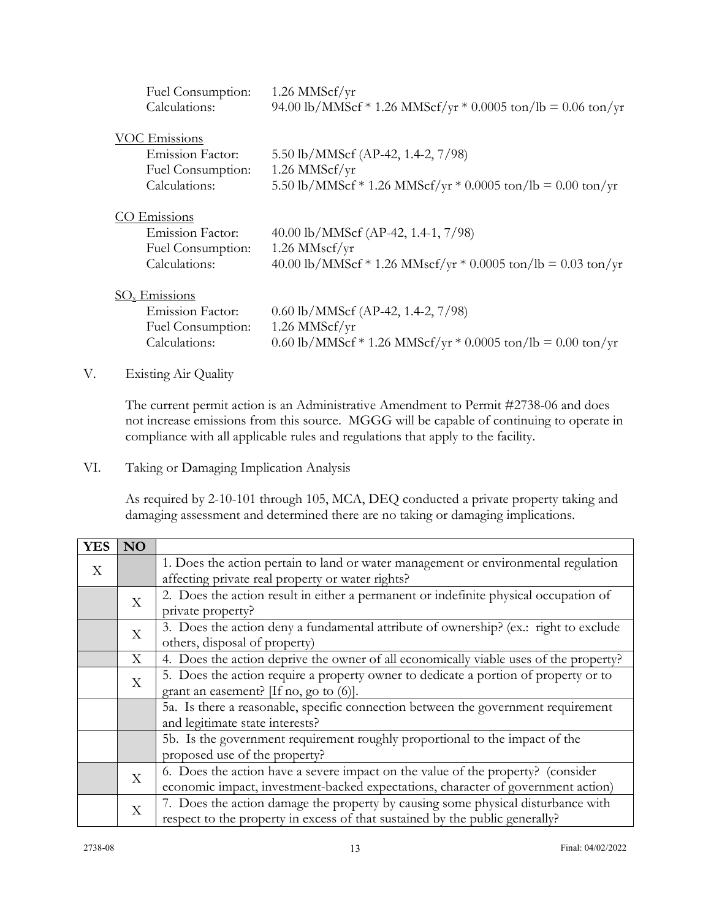| Fuel Consumption:<br>Calculations:                                                    | $1.26$ MMScf/yr<br>94.00 lb/MMScf * 1.26 MMScf/yr * 0.0005 ton/lb = 0.06 ton/yr                                           |
|---------------------------------------------------------------------------------------|---------------------------------------------------------------------------------------------------------------------------|
| <b>VOC Emissions</b><br><b>Emission Factor:</b><br>Fuel Consumption:<br>Calculations: | 5.50 lb/MMScf (AP-42, 1.4-2, 7/98)<br>$1.26$ MMScf/yr<br>5.50 lb/MMScf * 1.26 MMScf/yr * 0.0005 ton/lb = 0.00 ton/yr      |
| Emissions<br><b>Emission Factor:</b><br>Fuel Consumption:<br>Calculations:            | 40.00 lb/MMScf (AP-42, 1.4-1, $7/98$ )<br>$1.26$ MMscf/yr<br>40.00 lb/MMScf * 1.26 MMscf/yr * 0.0005 ton/lb = 0.03 ton/yr |
| $SOx$ Emissions<br><b>Emission Factor:</b><br>Fuel Consumption:<br>Calculations:      | $0.60$ lb/MMScf (AP-42, 1.4-2, 7/98)<br>$1.26$ MMScf/yr<br>0.60 lb/MMScf * 1.26 MMScf/yr * 0.0005 ton/lb = 0.00 ton/yr    |

## V. Existing Air Quality

The current permit action is an Administrative Amendment to Permit #2738-06 and does not increase emissions from this source. MGGG will be capable of continuing to operate in compliance with all applicable rules and regulations that apply to the facility.

VI. Taking or Damaging Implication Analysis

As required by 2-10-101 through 105, MCA, DEQ conducted a private property taking and damaging assessment and determined there are no taking or damaging implications.

| <b>YES</b> | <b>NO</b>                                                                                 |                                                                                                                      |  |  |
|------------|-------------------------------------------------------------------------------------------|----------------------------------------------------------------------------------------------------------------------|--|--|
| X          |                                                                                           | 1. Does the action pertain to land or water management or environmental regulation                                   |  |  |
|            |                                                                                           | affecting private real property or water rights?                                                                     |  |  |
|            | X                                                                                         | 2. Does the action result in either a permanent or indefinite physical occupation of                                 |  |  |
|            |                                                                                           | private property?                                                                                                    |  |  |
|            | 3. Does the action deny a fundamental attribute of ownership? (ex.: right to exclude<br>X |                                                                                                                      |  |  |
|            |                                                                                           | others, disposal of property)                                                                                        |  |  |
|            | X                                                                                         | 4. Does the action deprive the owner of all economically viable uses of the property?                                |  |  |
|            | X                                                                                         | 5. Does the action require a property owner to dedicate a portion of property or to                                  |  |  |
|            |                                                                                           | grant an easement? $[If no, go to (6)].$                                                                             |  |  |
|            |                                                                                           | 5a. Is there a reasonable, specific connection between the government requirement<br>and legitimate state interests? |  |  |
|            |                                                                                           |                                                                                                                      |  |  |
|            |                                                                                           | 5b. Is the government requirement roughly proportional to the impact of the                                          |  |  |
|            |                                                                                           | proposed use of the property?                                                                                        |  |  |
|            | X                                                                                         | 6. Does the action have a severe impact on the value of the property? (consider                                      |  |  |
|            |                                                                                           | economic impact, investment-backed expectations, character of government action)                                     |  |  |
|            | X                                                                                         | 7. Does the action damage the property by causing some physical disturbance with                                     |  |  |
|            |                                                                                           | respect to the property in excess of that sustained by the public generally?                                         |  |  |